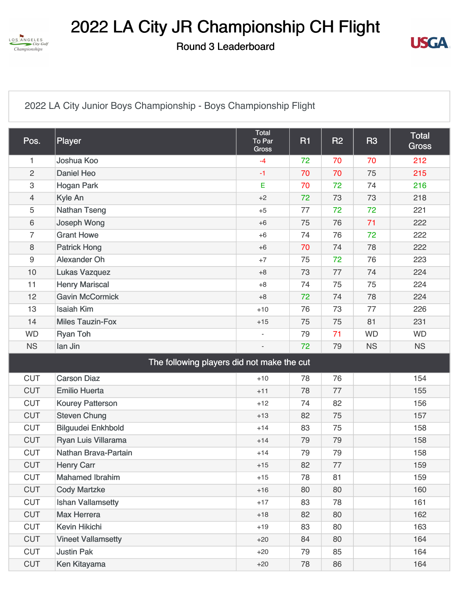

## 2022 LA City JR Championship CH Flight

Round 3 Leaderboard



[2022 LA City Junior Boys Championship - Boys Championship Flight](https://cdn2.golfgenius.com/v2tournaments/8346535688061070352?called_from=&round_index=3)

| Pos.                      | Player                                     | Total<br>To Par<br><b>Gross</b> | <b>R1</b> | <b>R2</b> | <b>R3</b> | Total<br><b>Gross</b> |  |  |
|---------------------------|--------------------------------------------|---------------------------------|-----------|-----------|-----------|-----------------------|--|--|
| 1                         | Joshua Koo                                 | $-4$                            | 72        | 70        | 70        | 212                   |  |  |
| $\overline{c}$            | <b>Daniel Heo</b>                          | $-1$                            | 70        | 70        | 75        | 215                   |  |  |
| $\ensuremath{\mathsf{3}}$ | <b>Hogan Park</b>                          | Е                               | 70        | 72        | 74        | 216                   |  |  |
| $\overline{4}$            | Kyle An                                    | $+2$                            | 72        | 73        | 73        | 218                   |  |  |
| 5                         | <b>Nathan Tseng</b>                        | $+5$                            | 77        | 72        | 72        | 221                   |  |  |
| 6                         | Joseph Wong                                | $+6$                            | 75        | 76        | 71        | 222                   |  |  |
| $\overline{7}$            | <b>Grant Howe</b>                          | $+6$                            | 74        | 76        | 72        | 222                   |  |  |
| 8                         | <b>Patrick Hong</b>                        | $+6$                            | 70        | 74        | 78        | 222                   |  |  |
| $9\,$                     | Alexander Oh                               | $+7$                            | 75        | 72        | 76        | 223                   |  |  |
| 10                        | <b>Lukas Vazquez</b>                       | $+8$                            | 73        | 77        | 74        | 224                   |  |  |
| 11                        | <b>Henry Mariscal</b>                      | $+8$                            | 74        | 75        | 75        | 224                   |  |  |
| 12                        | <b>Gavin McCormick</b>                     | $+8$                            | 72        | 74        | 78        | 224                   |  |  |
| 13                        | <b>Isaiah Kim</b>                          | $+10$                           | 76        | 73        | 77        | 226                   |  |  |
| 14                        | <b>Miles Tauzin-Fox</b>                    | $+15$                           | 75        | 75        | 81        | 231                   |  |  |
| <b>WD</b>                 | <b>Ryan Toh</b>                            | $\overline{\phantom{a}}$        | 79        | 71        | <b>WD</b> | <b>WD</b>             |  |  |
| <b>NS</b>                 | lan Jin                                    |                                 | 72        | 79        | <b>NS</b> | <b>NS</b>             |  |  |
|                           | The following players did not make the cut |                                 |           |           |           |                       |  |  |
| <b>CUT</b>                | <b>Carson Diaz</b>                         | $+10$                           | 78        | 76        |           | 154                   |  |  |
| <b>CUT</b>                | <b>Emilio Huerta</b>                       | $+11$                           | 78        | 77        |           | 155                   |  |  |
| <b>CUT</b>                | <b>Kourey Patterson</b>                    | $+12$                           | 74        | 82        |           | 156                   |  |  |
| <b>CUT</b>                | <b>Steven Chung</b>                        | $+13$                           | 82        | 75        |           | 157                   |  |  |
| <b>CUT</b>                | <b>Bilguudei Enkhbold</b>                  | $+14$                           | 83        | 75        |           | 158                   |  |  |
| <b>CUT</b>                | Ryan Luis Villarama                        | $+14$                           | 79        | 79        |           | 158                   |  |  |
| <b>CUT</b>                | Nathan Brava-Partain                       | $+14$                           | 79        | 79        |           | 158                   |  |  |
| <b>CUT</b>                | <b>Henry Carr</b>                          | $+15$                           | 82        | 77        |           | 159                   |  |  |
| <b>CUT</b>                | <b>Mahamed Ibrahim</b>                     | $+15$                           | 78        | 81        |           | 159                   |  |  |
| <b>CUT</b>                | <b>Cody Martzke</b>                        | $+16$                           | 80        | 80        |           | 160                   |  |  |
| <b>CUT</b>                | <b>Ishan Vallamsetty</b>                   | $+17$                           | 83        | 78        |           | 161                   |  |  |
| <b>CUT</b>                | <b>Max Herrera</b>                         | $+18$                           | 82        | 80        |           | 162                   |  |  |
| <b>CUT</b>                | Kevin Hikichi                              | $+19$                           | 83        | 80        |           | 163                   |  |  |
| <b>CUT</b>                | <b>Vineet Vallamsetty</b>                  | $+20$                           | 84        | 80        |           | 164                   |  |  |
| <b>CUT</b>                | <b>Justin Pak</b>                          | $+20$                           | 79        | 85        |           | 164                   |  |  |
| <b>CUT</b>                | Ken Kitayama                               | $+20$                           | 78        | 86        |           | 164                   |  |  |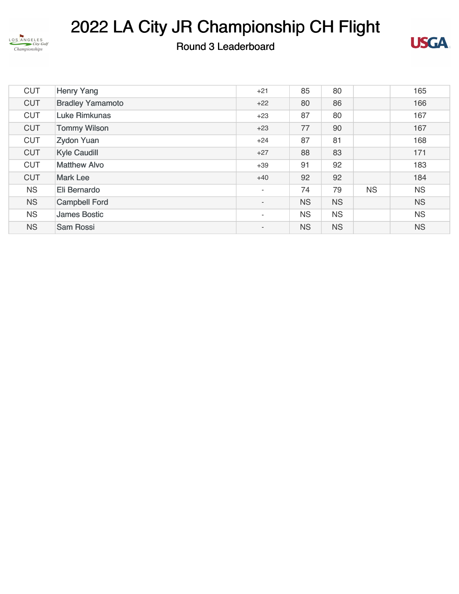

## 2022 LA City JR Championship CH Flight

## Round 3 Leaderboard



| <b>CUT</b> | <b>Henry Yang</b>       | $+21$                    | 85        | 80        |           | 165       |
|------------|-------------------------|--------------------------|-----------|-----------|-----------|-----------|
| <b>CUT</b> | <b>Bradley Yamamoto</b> | $+22$                    | 80        | 86        |           | 166       |
| <b>CUT</b> | <b>Luke Rimkunas</b>    | $+23$                    | 87        | 80        |           | 167       |
| <b>CUT</b> | <b>Tommy Wilson</b>     | $+23$                    | 77        | 90        |           | 167       |
| <b>CUT</b> | <b>Zydon Yuan</b>       | $+24$                    | 87        | 81        |           | 168       |
| <b>CUT</b> | <b>Kyle Caudill</b>     | $+27$                    | 88        | 83        |           | 171       |
| <b>CUT</b> | <b>Matthew Alvo</b>     | $+39$                    | 91        | 92        |           | 183       |
| <b>CUT</b> | <b>Mark Lee</b>         | $+40$                    | 92        | 92        |           | 184       |
| <b>NS</b>  | Eli Bernardo            | $\overline{\phantom{a}}$ | 74        | 79        | <b>NS</b> | <b>NS</b> |
| <b>NS</b>  | <b>Campbell Ford</b>    | $\overline{\phantom{a}}$ | <b>NS</b> | <b>NS</b> |           | <b>NS</b> |
| <b>NS</b>  | <b>James Bostic</b>     | $\overline{\phantom{a}}$ | <b>NS</b> | <b>NS</b> |           | <b>NS</b> |
| <b>NS</b>  | Sam Rossi               | $\overline{\phantom{a}}$ | <b>NS</b> | <b>NS</b> |           | <b>NS</b> |